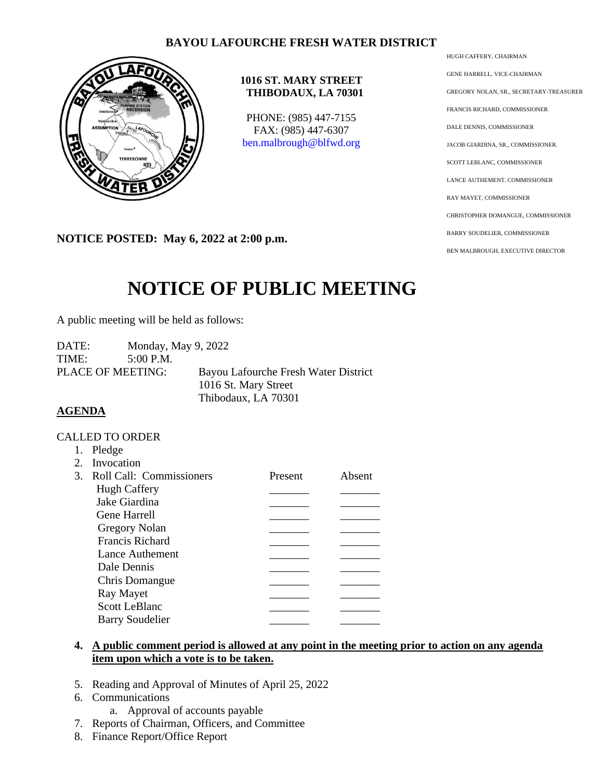# **BAYOU LAFOURCHE FRESH WATER DISTRICT**



## **1016 ST. MARY STREET THIBODAUX, LA 70301**

PHONE: (985) 447-7155 FAX: (985) 447-6307 [ben.malbrough@blfwd.org](mailto:ben.malbrough@blfwd.org)

**NOTICE POSTED: May 6, 2022 at 2:00 p.m.**

# **NOTICE OF PUBLIC MEETING**

A public meeting will be held as follows:

DATE: Monday, May 9, 2022 TIME: 5:00 P.M. PLACE OF MEETING: Bayou Lafourche Fresh Water District 1016 St. Mary Street Thibodaux, LA 70301

# **AGENDA**

#### CALLED TO ORDER

| 1.            | Pledge                   |         |        |
|---------------|--------------------------|---------|--------|
| $2^{\circ}$   | Invocation               |         |        |
| $\mathcal{E}$ | Roll Call: Commissioners | Present | Absent |
|               | <b>Hugh Caffery</b>      |         |        |
|               | Jake Giardina            |         |        |
|               | <b>Gene Harrell</b>      |         |        |
|               | Gregory Nolan            |         |        |
|               | <b>Francis Richard</b>   |         |        |
|               | Lance Authement          |         |        |
|               | Dale Dennis              |         |        |
|               | Chris Domangue           |         |        |
|               | Ray Mayet                |         |        |
|               | <b>Scott LeBlanc</b>     |         |        |
|               | <b>Barry Soudelier</b>   |         |        |

## **4. A public comment period is allowed at any point in the meeting prior to action on any agenda item upon which a vote is to be taken.**

- 5. Reading and Approval of Minutes of April 25, 2022
- 6. Communications
	- a. Approval of accounts payable
- 7. Reports of Chairman, Officers, and Committee
- 8. Finance Report/Office Report

HUGH CAFFERY, CHAIRMAN

GENE HARRELL, VICE-CHAIRMAN GREGORY NOLAN, SR., SECRETARY-TREASURER FRANCIS RICHARD, COMMISSIONER DALE DENNIS, COMMISSIONER JACOB GIARDINA, SR., COMMISSIONER. SCOTT LEBLANC, COMMISSIONER LANCE AUTHEMENT, COMMISSIONER RAY MAYET, COMMISSIONER CHRISTOPHER DOMANGUE, COMMISSIONER BARRY SOUDELIER, COMMISSIONER BEN MALBROUGH, EXECUTIVE DIRECTOR